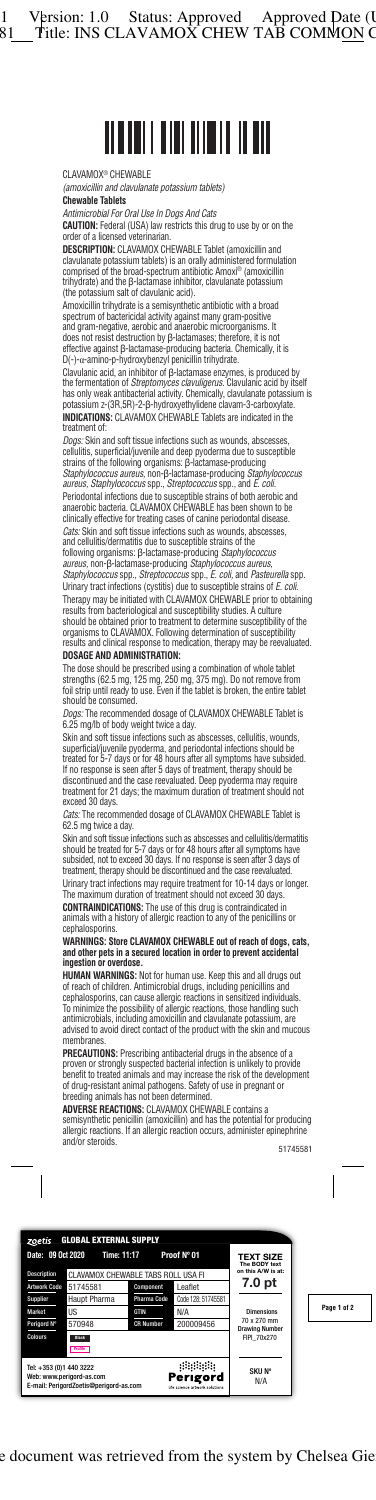# CLAVAMOX® CHEWABLE

*(amoxicillin and clavulanate potassium tablets)*

## **Chewable Tablets**

*Antimicrobial For Oral Use In Dogs And Cats*

**CAUTION:** Federal (USA) law restricts this drug to use by or on the order of a licensed veterinarian.

**DESCRIPTION:** CLAVAMOX CHEWABLE Tablet (amoxicillin and clavulanate potassium tablets) is an orally administered formulation comprised of the broad-spectrum antibiotic Amoxi® (amoxicillin trihydrate) and the β-lactamase inhibitor, clavulanate potassium (the potassium salt of clavulanic acid).

Amoxicillin trihydrate is a semisynthetic antibiotic with a broad spectrum of bactericidal activity against many gram-positive and gram-negative, aerobic and anaerobic microorganisms. It does not resist destruction by β-lactamases; therefore, it is not effective against β-lactamase-producing bacteria. Chemically, it is D(-)-α-amino-p-hydroxybenzyl penicillin trihydrate.

Clavulanic acid, an inhibitor of β-lactamase enzymes, is produced by the fermentation of *Streptomyces clavuligerus.* Clavulanic acid by itself has only weak antibacterial activity. Chemically, clavulanate potassium is potassium z-(3R,5R)-2-β-hydroxyethylidene clavam-3-carboxylate. **INDICATIONS:** CLAVAMOX CHEWABLE Tablets are indicated in the treatment of:

Dogs: Skin and soft tissue infections such as wounds, abscesses cellulitis, superficial/juvenile and deep pyoderma due to susceptible strains of the following organisms: β-lactamase-producing *Staphylococcus aureus,* non-β-lactamase-producing *Staphylococcus aureus, Staphylococcus* spp., *Streptococcus* spp., and *E. coli.* Periodontal infections due to susceptible strains of both aerobic and anaerobic bacteria. CLAVAMOX CHEWABLE has been shown to be clinically effective for treating cases of canine periodontal disease. *Cats:* Skin and soft tissue infections such as wounds, abscesses, and cellulitis/dermatitis due to susceptible strains of the following organisms: β-lactamase-producing *Staphylococcus aureus,* non-β-lactamase-producing *Staphylococcus aureus,* 

*Staphylococcus* spp., *Streptococcus* spp., *E. coli,* and *Pasteurella* spp. Urinary tract infections (cystitis) due to susceptible strains of *E. coli.* Therapy may be initiated with CLAVAMOX CHEWABLE prior to obtaining results from bacteriological and susceptibility studies. A culture should be obtained prior to treatment to determine susceptibility of the organisms to CLAVAMOX. Following determination of susceptibility results and clinical response to medication, therapy may be reevaluated.

## **DOSAGE AND ADMINISTRATION:**

The dose should be prescribed using a combination of whole tablet strengths (62.5 mg, 125 mg, 250 mg, 375 mg). Do not remove from foil strip until ready to use. Even if the tablet is broken, the entire tablet should be consumed.

*Dogs:* The recommended dosage of CLAVAMOX CHEWABLE Tablet is 6.25 mg/lb of body weight twice a day.

Skin and soft tissue infections such as abscesses, cellulitis, wounds, superficial/juvenile pyoderma, and periodontal infections should be treated for 5-7 days or for 48 hours after all symptoms have subsided. If no response is seen after 5 days of treatment, therapy should be discontinued and the case reevaluated. Deep pyoderma may require treatment for 21 days; the maximum duration of treatment should not exceed 30 days.

*Cats:* The recommended dosage of CLAVAMOX CHEWABLE Tablet is 62.5 mg twice a day.

Skin and soft tissue infections such as abscesses and cellulitis/dermatitis should be treated for 5-7 days or for 48 hours after all symptoms have subsided, not to exceed 30 days. If no response is seen after 3 days of treatment, therapy should be discontinued and the case reevaluated.

Urinary tract infections may require treatment for 10-14 days or longer. The maximum duration of treatment should not exceed 30 days. **CONTRAINDICATIONS:** The use of this drug is contraindicated in animals with a history of allergic reaction to any of the penicillins or cephalosporins.

### **WARNINGS: Store CLAVAMOX CHEWABLE out of reach of dogs, cats, and other pets in a secured location in order to prevent accidental ingestion or overdose.**

**HUMAN WARNINGS:** Not for human use. Keep this and all drugs out of reach of children. Antimicrobial drugs, including penicillins and cephalosporins, can cause allergic reactions in sensitized individuals. To minimize the possibility of allergic reactions, those handling such antimicrobials, including amoxicillin and clavulanate potassium, are advised to avoid direct contact of the product with the skin and mucous membranes.

**PRECAUTIONS:** Prescribing antibacterial drugs in the absence of a proven or strongly suspected bacterial infection is unlikely to provide benefit to treated animals and may increase the risk of the development of drug-resistant animal pathogens. Safety of use in pregnant or breeding animals has not been determined.

**ADVERSE REACTIONS:** CLAVAMOX CHEWABLE contains a semisynthetic penicillin (amoxicillin) and has the potential for producing allergic reactions. If an allergic reaction occurs, administer epinephrine and/or steroids. 51745581